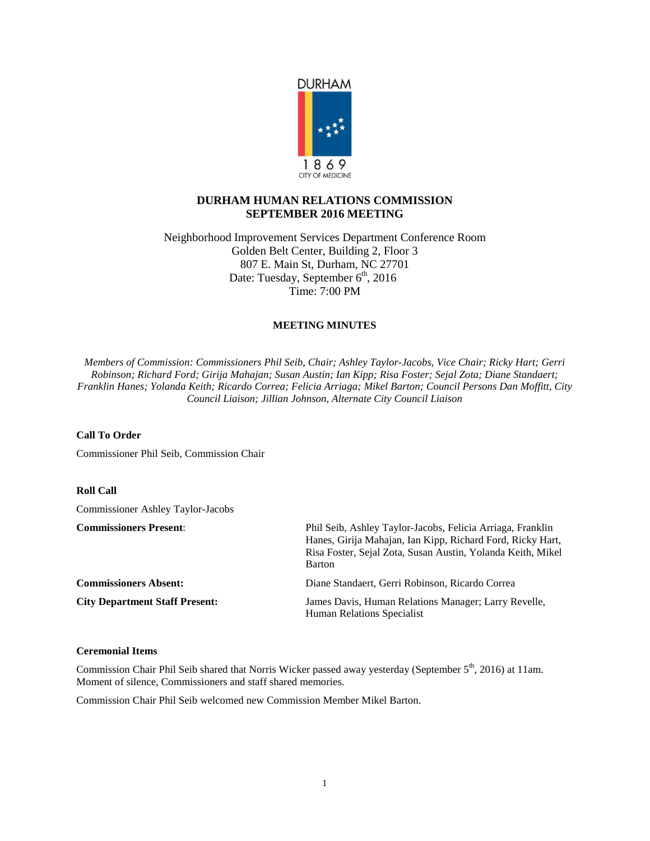

# **DURHAM HUMAN RELATIONS COMMISSION SEPTEMBER 2016 MEETING**

Neighborhood Improvement Services Department Conference Room Golden Belt Center, Building 2, Floor 3 807 E. Main St, Durham, NC 27701 Date: Tuesday, September 6<sup>th</sup>, 2016 Time: 7:00 PM

## **MEETING MINUTES**

*Members of Commission: Commissioners Phil Seib, Chair; Ashley Taylor-Jacobs, Vice Chair; Ricky Hart; Gerri Robinson; Richard Ford; Girija Mahajan; Susan Austin; Ian Kipp; Risa Foster; Sejal Zota; Diane Standaert; Franklin Hanes; Yolanda Keith; Ricardo Correa; Felicia Arriaga; Mikel Barton; Council Persons Dan Moffitt, City Council Liaison; Jillian Johnson, Alternate City Council Liaison*

## **Call To Order**

Commissioner Phil Seib, Commission Chair

## **Roll Call**

Commissioner Ashley Taylor-Jacobs

| <b>Commissioners Present:</b>         | Phil Seib, Ashley Taylor-Jacobs, Felicia Arriaga, Franklin<br>Hanes, Girija Mahajan, Ian Kipp, Richard Ford, Ricky Hart,<br>Risa Foster, Sejal Zota, Susan Austin, Yolanda Keith, Mikel<br>Barton |
|---------------------------------------|---------------------------------------------------------------------------------------------------------------------------------------------------------------------------------------------------|
| <b>Commissioners Absent:</b>          | Diane Standaert, Gerri Robinson, Ricardo Correa                                                                                                                                                   |
| <b>City Department Staff Present:</b> | James Davis, Human Relations Manager; Larry Revelle,<br><b>Human Relations Specialist</b>                                                                                                         |

## **Ceremonial Items**

Commission Chair Phil Seib shared that Norris Wicker passed away yesterday (September 5<sup>th</sup>, 2016) at 11am. Moment of silence, Commissioners and staff shared memories.

Commission Chair Phil Seib welcomed new Commission Member Mikel Barton.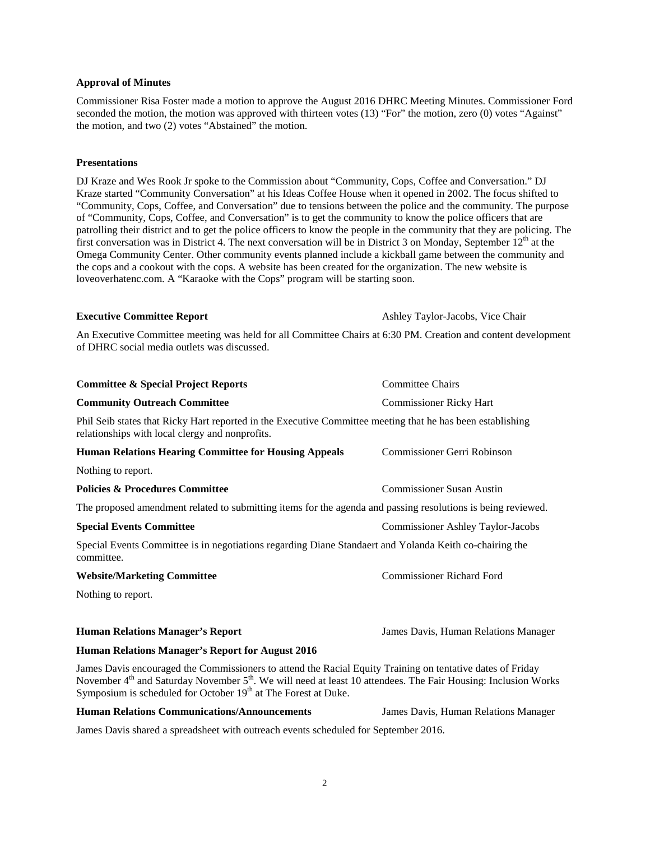### **Approval of Minutes**

Commissioner Risa Foster made a motion to approve the August 2016 DHRC Meeting Minutes. Commissioner Ford seconded the motion, the motion was approved with thirteen votes (13) "For" the motion, zero (0) votes "Against" the motion, and two (2) votes "Abstained" the motion.

## **Presentations**

DJ Kraze and Wes Rook Jr spoke to the Commission about "Community, Cops, Coffee and Conversation." DJ Kraze started "Community Conversation" at his Ideas Coffee House when it opened in 2002. The focus shifted to "Community, Cops, Coffee, and Conversation" due to tensions between the police and the community. The purpose of "Community, Cops, Coffee, and Conversation" is to get the community to know the police officers that are patrolling their district and to get the police officers to know the people in the community that they are policing. The first conversation was in District 4. The next conversation will be in District 3 on Monday, September  $12<sup>th</sup>$  at the Omega Community Center. Other community events planned include a kickball game between the community and the cops and a cookout with the cops. A website has been created for the organization. The new website is loveoverhatenc.com. A "Karaoke with the Cops" program will be starting soon.

**Executive Committee Report** Ashley Taylor-Jacobs, Vice Chair

An Executive Committee meeting was held for all Committee Chairs at 6:30 PM. Creation and content development of DHRC social media outlets was discussed.

| <b>Committee &amp; Special Project Reports</b>                                                                                                                                                                                                       | <b>Committee Chairs</b>                  |  |
|------------------------------------------------------------------------------------------------------------------------------------------------------------------------------------------------------------------------------------------------------|------------------------------------------|--|
| <b>Community Outreach Committee</b>                                                                                                                                                                                                                  | <b>Commissioner Ricky Hart</b>           |  |
| Phil Seib states that Ricky Hart reported in the Executive Committee meeting that he has been establishing<br>relationships with local clergy and nonprofits.                                                                                        |                                          |  |
| <b>Human Relations Hearing Committee for Housing Appeals</b>                                                                                                                                                                                         | Commissioner Gerri Robinson              |  |
| Nothing to report.                                                                                                                                                                                                                                   |                                          |  |
| <b>Policies &amp; Procedures Committee</b>                                                                                                                                                                                                           | <b>Commissioner Susan Austin</b>         |  |
| The proposed amendment related to submitting items for the agenda and passing resolutions is being reviewed.                                                                                                                                         |                                          |  |
| <b>Special Events Committee</b>                                                                                                                                                                                                                      | <b>Commissioner Ashley Taylor-Jacobs</b> |  |
| Special Events Committee is in negotiations regarding Diane Standaert and Yolanda Keith co-chairing the<br>committee.                                                                                                                                |                                          |  |
| <b>Website/Marketing Committee</b>                                                                                                                                                                                                                   | <b>Commissioner Richard Ford</b>         |  |
| Nothing to report.                                                                                                                                                                                                                                   |                                          |  |
| <b>Human Relations Manager's Report</b>                                                                                                                                                                                                              | James Davis, Human Relations Manager     |  |
| Human Relations Manager's Report for August 2016                                                                                                                                                                                                     |                                          |  |
| James Davis encouraged the Commissioners to attend the Racial Equity Training on tentative dates of Friday<br>November 4 <sup>th</sup> and Saturday November 5 <sup>th</sup> . We will need at least 10 attendees. The Fair Housing: Inclusion Works |                                          |  |

**Human Relations Communications/Announcements** James Davis, Human Relations Manager

Symposium is scheduled for October 19<sup>th</sup> at The Forest at Duke.

James Davis shared a spreadsheet with outreach events scheduled for September 2016.